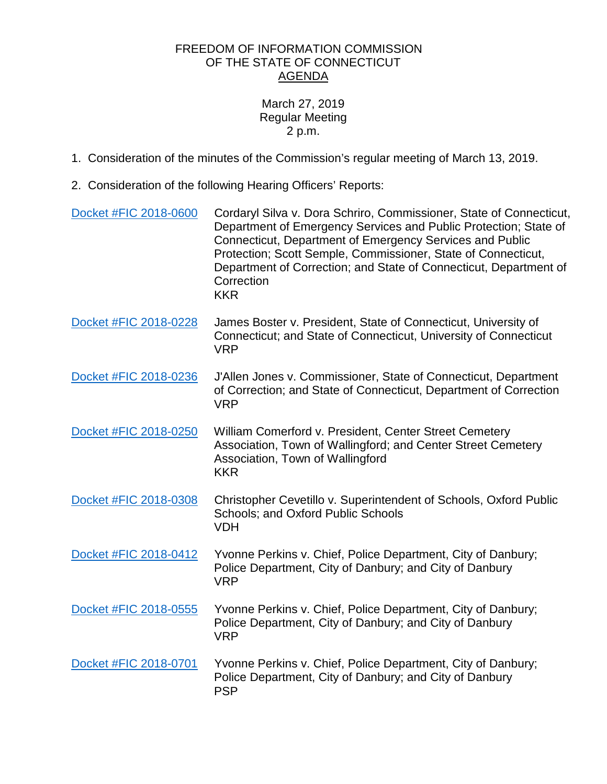## FREEDOM OF INFORMATION COMMISSION OF THE STATE OF CONNECTICUT AGENDA

## March 27, 2019 Regular Meeting 2 p.m.

- 1. Consideration of the minutes of the Commission's regular meeting of March 13, 2019.
- 2. Consideration of the following Hearing Officers' Reports:

| Docket #FIC 2018-0600 | Cordaryl Silva v. Dora Schriro, Commissioner, State of Connecticut,<br>Department of Emergency Services and Public Protection; State of<br>Connecticut, Department of Emergency Services and Public<br>Protection; Scott Semple, Commissioner, State of Connecticut,<br>Department of Correction; and State of Connecticut, Department of<br>Correction<br><b>KKR</b> |
|-----------------------|-----------------------------------------------------------------------------------------------------------------------------------------------------------------------------------------------------------------------------------------------------------------------------------------------------------------------------------------------------------------------|
| Docket #FIC 2018-0228 | James Boster v. President, State of Connecticut, University of<br>Connecticut; and State of Connecticut, University of Connecticut<br><b>VRP</b>                                                                                                                                                                                                                      |
| Docket #FIC 2018-0236 | J'Allen Jones v. Commissioner, State of Connecticut, Department<br>of Correction; and State of Connecticut, Department of Correction<br><b>VRP</b>                                                                                                                                                                                                                    |
| Docket #FIC 2018-0250 | William Comerford v. President, Center Street Cemetery<br>Association, Town of Wallingford; and Center Street Cemetery<br>Association, Town of Wallingford<br><b>KKR</b>                                                                                                                                                                                              |
| Docket #FIC 2018-0308 | Christopher Cevetillo v. Superintendent of Schools, Oxford Public<br><b>Schools: and Oxford Public Schools</b><br><b>VDH</b>                                                                                                                                                                                                                                          |
| Docket #FIC 2018-0412 | Yvonne Perkins v. Chief, Police Department, City of Danbury;<br>Police Department, City of Danbury; and City of Danbury<br><b>VRP</b>                                                                                                                                                                                                                                 |
| Docket #FIC 2018-0555 | Yvonne Perkins v. Chief, Police Department, City of Danbury;<br>Police Department, City of Danbury; and City of Danbury<br><b>VRP</b>                                                                                                                                                                                                                                 |
| Docket #FIC 2018-0701 | Yvonne Perkins v. Chief, Police Department, City of Danbury;<br>Police Department, City of Danbury; and City of Danbury<br><b>PSP</b>                                                                                                                                                                                                                                 |